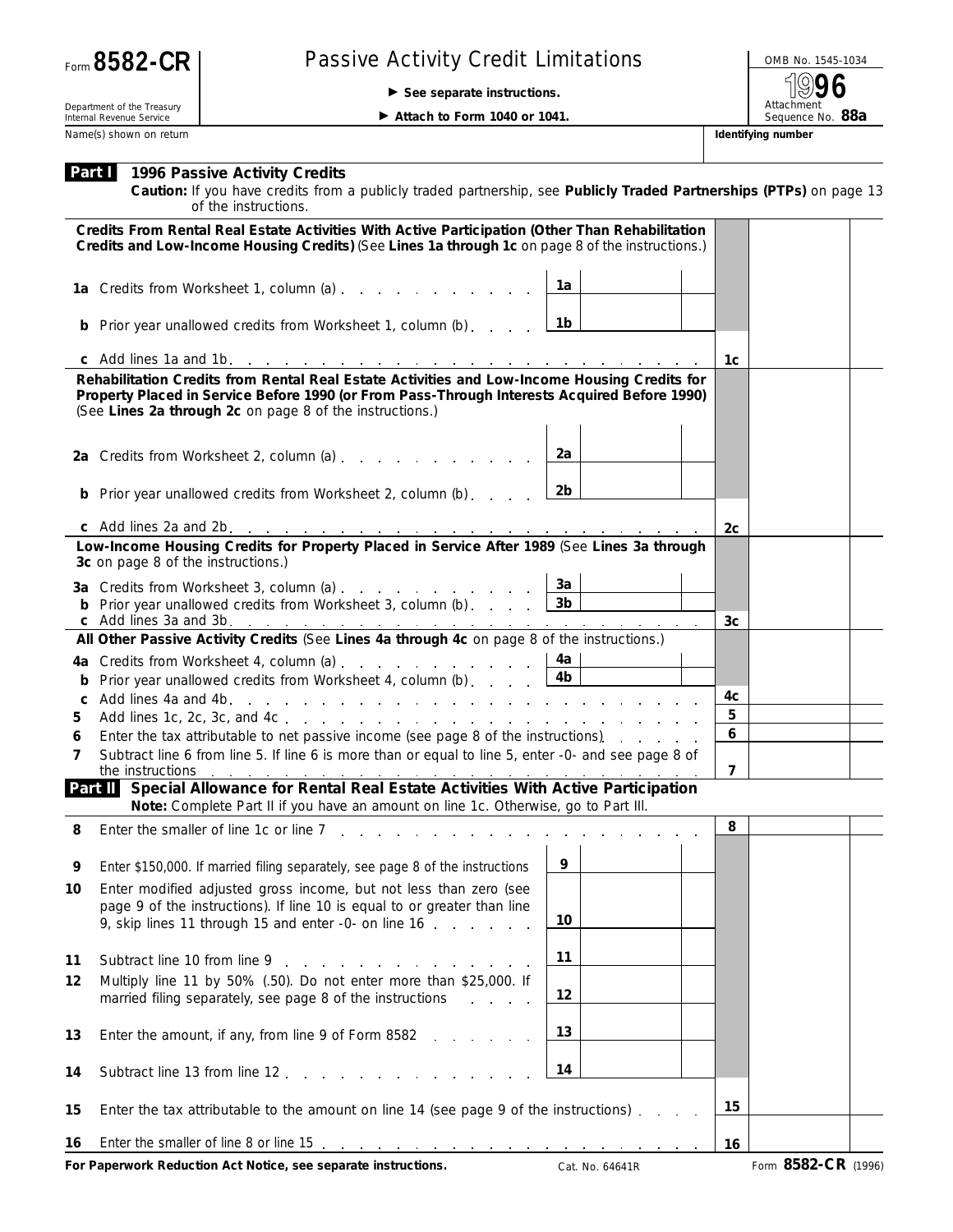| Form 8582-CR |  |
|--------------|--|
|--------------|--|

## Passive Activity Credit Limitations **Passive Activity Credit Limitations**

© **See separate instructions.**

Attachment<br>Sequence No. 88a **96**

Department of the Treasury Internal Revenue Service Name(s) shown on return **Identifying number Identifying number Identifying number** 

▶ Attach to Form 1040 or 1041.

|                                                                                                                                                                                                                                                          | <b>Part 1996 Passive Activity Credits</b><br>Caution: If you have credits from a publicly traded partnership, see Publicly Traded Partnerships (PTPs) on page 13<br>of the instructions.                                       |                 |  |                |                     |  |
|----------------------------------------------------------------------------------------------------------------------------------------------------------------------------------------------------------------------------------------------------------|--------------------------------------------------------------------------------------------------------------------------------------------------------------------------------------------------------------------------------|-----------------|--|----------------|---------------------|--|
|                                                                                                                                                                                                                                                          | Credits From Rental Real Estate Activities With Active Participation (Other Than Rehabilitation<br>Credits and Low-Income Housing Credits) (See Lines 1a through 1c on page 8 of the instructions.)                            |                 |  |                |                     |  |
|                                                                                                                                                                                                                                                          | 1a Credits from Worksheet 1, column (a)                                                                                                                                                                                        | 1a              |  |                |                     |  |
|                                                                                                                                                                                                                                                          | <b>b</b> Prior year unallowed credits from Worksheet 1, column (b)                                                                                                                                                             | 1b              |  |                |                     |  |
|                                                                                                                                                                                                                                                          |                                                                                                                                                                                                                                |                 |  | 1c             |                     |  |
| Rehabilitation Credits from Rental Real Estate Activities and Low-Income Housing Credits for<br>Property Placed in Service Before 1990 (or From Pass-Through Interests Acquired Before 1990)<br>(See Lines 2a through 2c on page 8 of the instructions.) |                                                                                                                                                                                                                                |                 |  |                |                     |  |
|                                                                                                                                                                                                                                                          | 2a Credits from Worksheet 2, column (a) $\ldots$ $\ldots$ $\ldots$ $\ldots$                                                                                                                                                    | 2a              |  |                |                     |  |
|                                                                                                                                                                                                                                                          | <b>b</b> Prior year unallowed credits from Worksheet 2, column (b)                                                                                                                                                             | 2 <sub>b</sub>  |  |                |                     |  |
|                                                                                                                                                                                                                                                          |                                                                                                                                                                                                                                |                 |  | 2 <sub>c</sub> |                     |  |
| Low-Income Housing Credits for Property Placed in Service After 1989 (See Lines 3a through<br>3c on page 8 of the instructions.)                                                                                                                         |                                                                                                                                                                                                                                |                 |  |                |                     |  |
|                                                                                                                                                                                                                                                          |                                                                                                                                                                                                                                | За              |  |                |                     |  |
|                                                                                                                                                                                                                                                          | <b>b</b> Prior year unallowed credits from Worksheet 3, column (b) $\ldots$ $\boxed{3b}$                                                                                                                                       |                 |  | 3c             |                     |  |
|                                                                                                                                                                                                                                                          | All Other Passive Activity Credits (See Lines 4a through 4c on page 8 of the instructions.)                                                                                                                                    |                 |  |                |                     |  |
|                                                                                                                                                                                                                                                          | 4a Credits from Worksheet 4, column (a) $\ldots$ $\ldots$ $\ldots$ $\ldots$ $\lfloor$ 4a                                                                                                                                       |                 |  |                |                     |  |
|                                                                                                                                                                                                                                                          | Prior year unallowed credits from Worksheet 4, column (b) $\ldots$                                                                                                                                                             | 4 <sub>b</sub>  |  |                |                     |  |
| C                                                                                                                                                                                                                                                        |                                                                                                                                                                                                                                |                 |  | 4с             |                     |  |
| 5                                                                                                                                                                                                                                                        |                                                                                                                                                                                                                                |                 |  | 5              |                     |  |
| 6                                                                                                                                                                                                                                                        | Enter the tax attributable to net passive income (see page 8 of the instructions).                                                                                                                                             |                 |  | 6              |                     |  |
| 7                                                                                                                                                                                                                                                        | Subtract line 6 from line 5. If line 6 is more than or equal to line 5, enter -0- and see page 8 of<br>the instructions                                                                                                        |                 |  | $\overline{7}$ |                     |  |
|                                                                                                                                                                                                                                                          | Part II Special Allowance for Rental Real Estate Activities With Active Participation<br>Note: Complete Part II if you have an amount on line 1c. Otherwise, go to Part III.                                                   |                 |  |                |                     |  |
| 8                                                                                                                                                                                                                                                        | Enter the smaller of line 1c or line 7, , , , , , , , , , , ,                                                                                                                                                                  |                 |  | 8              |                     |  |
| 9                                                                                                                                                                                                                                                        | Enter \$150,000. If married filing separately, see page 8 of the instructions                                                                                                                                                  | 9               |  |                |                     |  |
| 10                                                                                                                                                                                                                                                       | Enter modified adjusted gross income, but not less than zero (see<br>page 9 of the instructions). If line 10 is equal to or greater than line<br>9, skip lines 11 through 15 and enter -0- on line 16                          | 10              |  |                |                     |  |
| 11                                                                                                                                                                                                                                                       | Subtract line 10 from line 9 and 1 and 1 and 1 and 1 and 1 and 1 and 1 and 1 and 1 and 1 and 1 and 1 and 1 and 1 and 1 and 1 and 1 and 1 and 1 and 1 and 1 and 1 and 1 and 1 and 1 and 1 and 1 and 1 and 1 and 1 and 1 and 1 a | 11              |  |                |                     |  |
| 12                                                                                                                                                                                                                                                       | Multiply line 11 by 50% (.50). Do not enter more than \$25,000. If<br>married filing separately, see page 8 of the instructions                                                                                                | 12              |  |                |                     |  |
| 13                                                                                                                                                                                                                                                       | Enter the amount, if any, from line 9 of Form 8582<br>and the company of                                                                                                                                                       | 13              |  |                |                     |  |
| 14                                                                                                                                                                                                                                                       | Subtract line 13 from line 12                                                                                                                                                                                                  | 14              |  |                |                     |  |
| 15                                                                                                                                                                                                                                                       | Enter the tax attributable to the amount on line 14 (see page 9 of the instructions).                                                                                                                                          |                 |  | 15             |                     |  |
| 16                                                                                                                                                                                                                                                       |                                                                                                                                                                                                                                |                 |  | 16             |                     |  |
|                                                                                                                                                                                                                                                          | For Paperwork Reduction Act Notice, see separate instructions.                                                                                                                                                                 | Cat. No. 64641R |  |                | Form 8582-CR (1996) |  |